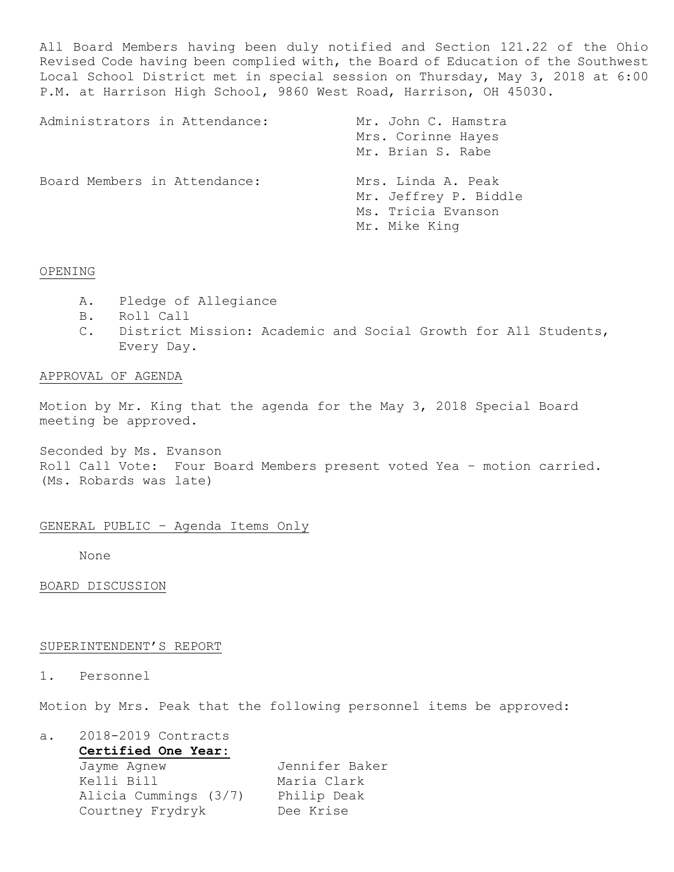All Board Members having been duly notified and Section 121.22 of the Ohio Revised Code having been complied with, the Board of Education of the Southwest Local School District met in special session on Thursday, May 3, 2018 at 6:00 P.M. at Harrison High School, 9860 West Road, Harrison, OH 45030.

| Administrators in Attendance: | Mr. John C. Hamstra<br>Mrs. Corinne Hayes<br>Mr. Brian S. Rabe                     |
|-------------------------------|------------------------------------------------------------------------------------|
| Board Members in Attendance:  | Mrs. Linda A. Peak<br>Mr. Jeffrey P. Biddle<br>Ms. Tricia Evanson<br>Mr. Mike King |

## OPENING

- A. Pledge of Allegiance
- B. Roll Call
- C. District Mission: Academic and Social Growth for All Students, Every Day.

## APPROVAL OF AGENDA

Motion by Mr. King that the agenda for the May 3, 2018 Special Board meeting be approved.

Seconded by Ms. Evanson Roll Call Vote: Four Board Members present voted Yea – motion carried. (Ms. Robards was late)

## GENERAL PUBLIC – Agenda Items Only

None

BOARD DISCUSSION

#### SUPERINTENDENT'S REPORT

## 1. Personnel

Motion by Mrs. Peak that the following personnel items be approved:

a. 2018-2019 Contracts **Certified One Year:** Jayme Agnew Jennifer Baker Kelli Bill Maria Clark Alicia Cummings (3/7) Philip Deak Courtney Frydryk Dee Krise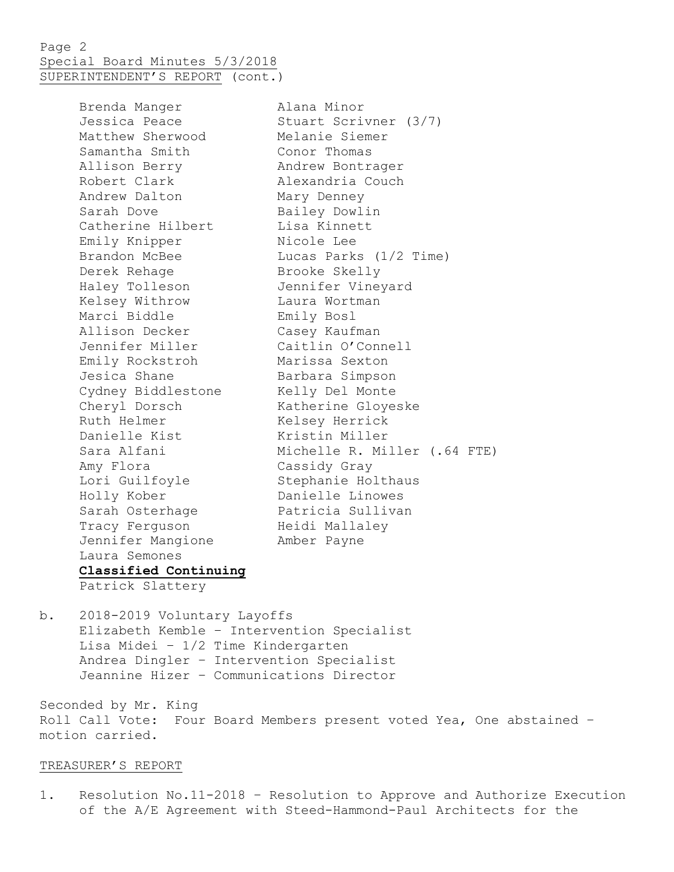Page 2 Special Board Minutes 5/3/2018 SUPERINTENDENT'S REPORT (cont.)

> Brenda Manger Alana Minor Jessica Peace Stuart Scrivner (3/7)<br>
> Matthew Sherwood Melanie Siemer Matthew Sherwood Melanie Siemer Samantha Smith Conor Thomas Allison Berry Andrew Bontrager Robert Clark **Alexandria** Couch Andrew Dalton Mary Denney Sarah Dove **Bailey Dowlin** Catherine Hilbert Lisa Kinnett Emily Knipper Nicole Lee Derek Rehage Brooke Skelly Haley Tolleson Jennifer Vineyard Kelsey Withrow Laura Wortman Marci Biddle Emily Bosl Allison Decker Casey Kaufman Jennifer Miller Caitlin O'Connell Emily Rockstroh Marissa Sexton Jesica Shane **Barbara Simpson** Cydney Biddlestone Kelly Del Monte Cheryl Dorsch Katherine Gloyeske Ruth Helmer Kelsey Herrick Danielle Kist Miller Amy Flora Cassidy Gray Lori Guilfoyle **Stephanie Holthaus** Holly Kober Danielle Linowes Sarah Osterhage **Patricia Sullivan** Tracy Ferguson and Heidi Mallaley Jennifer Mangione Amber Payne Laura Semones **Classified Continuing**

Brandon McBee Lucas Parks (1/2 Time) Sara Alfani (1999) Michelle R. Miller (.64 FTE)

Patrick Slattery

b. 2018-2019 Voluntary Layoffs Elizabeth Kemble – Intervention Specialist Lisa Midei – 1/2 Time Kindergarten Andrea Dingler – Intervention Specialist Jeannine Hizer – Communications Director

Seconded by Mr. King Roll Call Vote: Four Board Members present voted Yea, One abstained – motion carried.

## TREASURER'S REPORT

1. Resolution No.11-2018 – Resolution to Approve and Authorize Execution of the A/E Agreement with Steed-Hammond-Paul Architects for the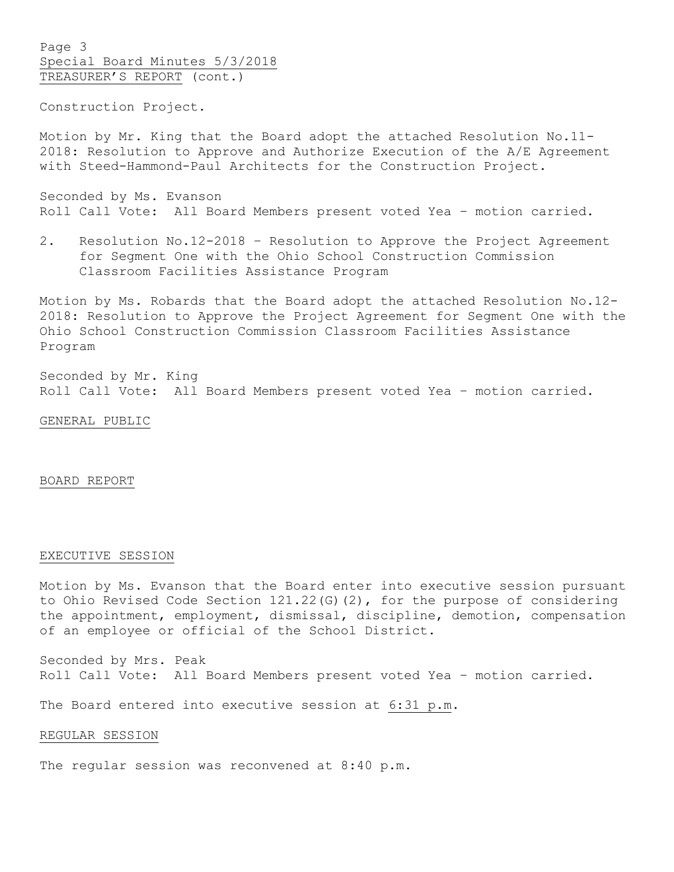Page 3 Special Board Minutes 5/3/2018 TREASURER'S REPORT (cont.)

Construction Project.

Motion by Mr. King that the Board adopt the attached Resolution No.11- 2018: Resolution to Approve and Authorize Execution of the A/E Agreement with Steed-Hammond-Paul Architects for the Construction Project.

Seconded by Ms. Evanson Roll Call Vote: All Board Members present voted Yea – motion carried.

2. Resolution No.12-2018 – Resolution to Approve the Project Agreement for Segment One with the Ohio School Construction Commission Classroom Facilities Assistance Program

Motion by Ms. Robards that the Board adopt the attached Resolution No.12- 2018: Resolution to Approve the Project Agreement for Segment One with the Ohio School Construction Commission Classroom Facilities Assistance Program

Seconded by Mr. King Roll Call Vote: All Board Members present voted Yea – motion carried.

#### GENERAL PUBLIC

#### BOARD REPORT

### EXECUTIVE SESSION

Motion by Ms. Evanson that the Board enter into executive session pursuant to Ohio Revised Code Section 121.22(G)(2), for the purpose of considering the appointment, employment, dismissal, discipline, demotion, compensation of an employee or official of the School District.

Seconded by Mrs. Peak Roll Call Vote: All Board Members present voted Yea – motion carried.

The Board entered into executive session at 6:31 p.m.

#### REGULAR SESSION

The regular session was reconvened at 8:40 p.m.